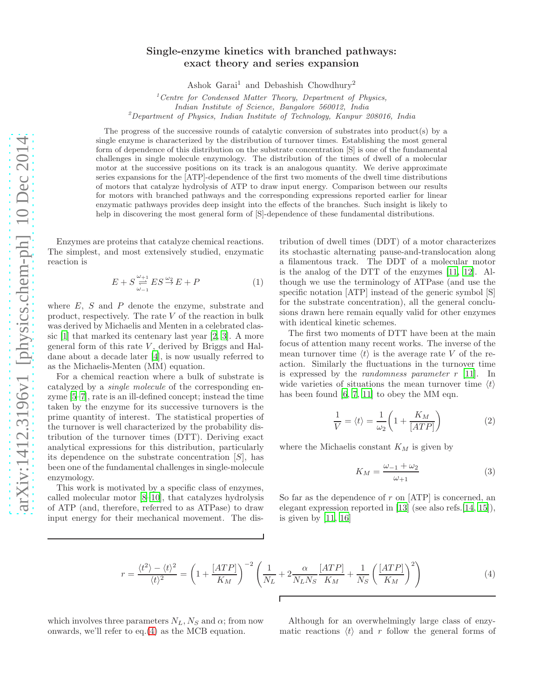## Single-enzyme kinetics with branched pathways: exact theory and series expansion

Ashok Garai<sup>1</sup> and Debashish Chowdhury<sup>2</sup>

 $1$ <sup>1</sup> Centre for Condensed Matter Theory, Department of Physics, Indian Institute of Science, Bangalore 560012, India  $2$ Department of Physics, Indian Institute of Technology, Kanpur 208016, India

The progress of the successive rounds of catalytic conversion of substrates into product(s) by a single enzyme is characterized by the distribution of turnover times. Establishing the most general form of dependence of this distribution on the substrate concentration [S] is one of the fundamental challenges in single molecule enzymology. The distribution of the times of dwell of a molecular motor at the successive positions on its track is an analogous quantity. We derive approximate series expansions for the [ATP]-dependence of the first two moments of the dwell time distributions of motors that catalyze hydrolysis of ATP to draw input energy. Comparison between our results for motors with branched pathways and the corresponding expressions reported earlier for linear enzymatic pathways provides deep insight into the effects of the branches. Such insight is likely to help in discovering the most general form of [S]-dependence of these fundamental distributions.

Enzymes are proteins that catalyze chemical reactions. The simplest, and most extensively studied, enzymatic reaction is

<span id="page-0-1"></span>
$$
E + S \underset{\omega_{-1}}{\overset{\omega_{+1}}{\rightleftharpoons}} ES \overset{\omega_2}{\rightarrow} E + P \tag{1}
$$

where  $E$ ,  $S$  and  $P$  denote the enzyme, substrate and product, respectively. The rate V of the reaction in bulk was derived by Michaelis and Menten in a celebrated classic [\[1](#page-4-0)] that marked its centenary last year [\[2,](#page-4-1) [3\]](#page-4-2). A more general form of this rate  $V$ , derived by Briggs and Haldane about a decade later [\[4\]](#page-4-3), is now usually referred to as the Michaelis-Menten (MM) equation.

For a chemical reaction where a bulk of substrate is catalyzed by a single molecule of the corresponding enzyme [\[5](#page-4-4)[–7\]](#page-4-5), rate is an ill-defined concept; instead the time taken by the enzyme for its successive turnovers is the prime quantity of interest. The statistical properties of the turnover is well characterized by the probability distribution of the turnover times (DTT). Deriving exact analytical expressions for this distribution, particularly its dependence on the substrate concentration [S], has been one of the fundamental challenges in single-molecule enzymology.

This work is motivated by a specific class of enzymes, called molecular motor [\[8](#page-4-6)[–10](#page-4-7)], that catalyzes hydrolysis of ATP (and, therefore, referred to as ATPase) to draw input energy for their mechanical movement. The dis-

tribution of dwell times (DDT) of a motor characterizes its stochastic alternating pause-and-translocation along a filamentous track. The DDT of a molecular motor is the analog of the DTT of the enzymes [\[11,](#page-4-8) [12\]](#page-4-9). Although we use the terminology of ATPase (and use the specific notation [ATP] instead of the generic symbol [S] for the substrate concentration), all the general conclusions drawn here remain equally valid for other enzymes with identical kinetic schemes.

The first two moments of DTT have been at the main focus of attention many recent works. The inverse of the mean turnover time  $\langle t \rangle$  is the average rate V of the reaction. Similarly the fluctuations in the turnover time is expressed by the *randomness parameter r* [\[11\]](#page-4-8). In wide varieties of situations the mean turnover time  $\langle t \rangle$ has been found [\[6,](#page-4-10) [7](#page-4-5), [11](#page-4-8)] to obey the MM eqn.

<span id="page-0-2"></span>
$$
\frac{1}{V} = \langle t \rangle = \frac{1}{\omega_2} \left( 1 + \frac{K_M}{[ATP]} \right) \tag{2}
$$

where the Michaelis constant  $K_M$  is given by

$$
K_M = \frac{\omega_{-1} + \omega_2}{\omega_{+1}}\tag{3}
$$

So far as the dependence of  $r$  on [ATP] is concerned, an elegant expression reported in [\[13\]](#page-4-11) (see also refs.[\[14](#page-4-12), [15\]](#page-4-13)), is given by  $[11, 16]$  $[11, 16]$ 

<span id="page-0-0"></span>
$$
r = \frac{\langle t^2 \rangle - \langle t \rangle^2}{\langle t \rangle^2} = \left(1 + \frac{[ATP]}{K_M}\right)^{-2} \left(\frac{1}{N_L} + 2\frac{\alpha}{N_L N_S} \frac{[ATP]}{K_M} + \frac{1}{N_S} \left(\frac{[ATP]}{K_M}\right)^2\right)
$$
(4)

which involves three parameters  $N_L$ ,  $N_S$  and  $\alpha$ ; from now onwards, we'll refer to eq.[\(4\)](#page-0-0) as the MCB equation.

Although for an overwhelmingly large class of enzymatic reactions  $\langle t \rangle$  and r follow the general forms of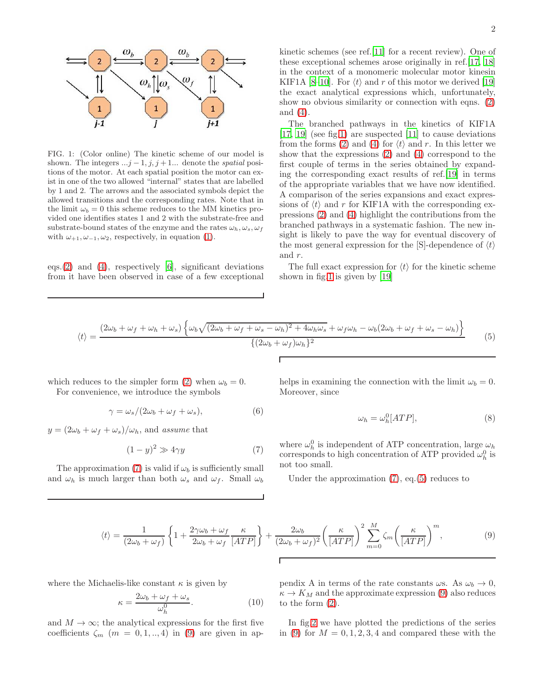

<span id="page-1-0"></span>FIG. 1: (Color online) The kinetic scheme of our model is shown. The integers  $...j-1, j, j+1...$  denote the spatial positions of the motor. At each spatial position the motor can exist in one of the two allowed "internal" states that are labelled by 1 and 2. The arrows and the associated symbols depict the allowed transitions and the corresponding rates. Note that in the limit  $\omega_b = 0$  this scheme reduces to the MM kinetics provided one identifies states 1 and 2 with the substrate-free and substrate-bound states of the enzyme and the rates  $\omega_h, \omega_s, \omega_f$ with  $\omega_{+1}, \omega_{-1}, \omega_2$ , respectively, in equation [\(1\)](#page-0-1).

eqs. $(2)$  and  $(4)$ , respectively [\[6\]](#page-4-10), significant deviations from it have been observed in case of a few exceptional

The branched pathways in the kinetics of KIF1A [\[17,](#page-4-15) [19\]](#page-4-17) (see fig[.1\)](#page-1-0) are suspected [\[11\]](#page-4-8) to cause deviations from the forms [\(2\)](#page-0-2) and [\(4\)](#page-0-0) for  $\langle t \rangle$  and r. In this letter we show that the expressions [\(2\)](#page-0-2) and [\(4\)](#page-0-0) correspond to the first couple of terms in the series obtained by expanding the corresponding exact results of ref.[\[19\]](#page-4-17) in terms of the appropriate variables that we have now identified. A comparison of the series expansions and exact expressions of  $\langle t \rangle$  and r for KIF1A with the corresponding expressions [\(2\)](#page-0-2) and [\(4\)](#page-0-0) highlight the contributions from the branched pathways in a systematic fashion. The new insight is likely to pave the way for eventual discovery of the most general expression for the  $[S]$ -dependence of  $\langle t \rangle$ and r.

The full exact expression for  $\langle t \rangle$  for the kinetic scheme shown in fig[.1](#page-1-0) is given by [\[19](#page-4-17)]

<span id="page-1-2"></span>
$$
\langle t \rangle = \frac{(2\omega_b + \omega_f + \omega_h + \omega_s) \left\{ \omega_b \sqrt{(2\omega_b + \omega_f + \omega_s - \omega_h)^2 + 4\omega_h \omega_s} + \omega_f \omega_h - \omega_b (2\omega_b + \omega_f + \omega_s - \omega_h) \right\}}{\{(2\omega_b + \omega_f)\omega_h\}^2}
$$
(5)

which reduces to the simpler form [\(2\)](#page-0-2) when  $\omega_b = 0$ . For convenience, we introduce the symbols

<span id="page-1-4"></span>
$$
\gamma = \omega_s / (2\omega_b + \omega_f + \omega_s),\tag{6}
$$

 $y = (2\omega_b + \omega_f + \omega_s)/\omega_h$ , and assume that

<span id="page-1-1"></span>
$$
(1-y)^2 \gg 4\gamma y \tag{7}
$$

The approximation [\(7\)](#page-1-1) is valid if  $\omega_b$  is sufficiently small and  $\omega_h$  is much larger than both  $\omega_s$  and  $\omega_f$ . Small  $\omega_b$ 

helps in examining the connection with the limit  $\omega_b = 0$ . Moreover, since

$$
\omega_h = \omega_h^0[ATP],\tag{8}
$$

where  $\omega_h^0$  is independent of ATP concentration, large  $\omega_h$ corresponds to high concentration of ATP provided  $\omega_h^0$  is not too small.

Under the approximation [\(7\)](#page-1-1), eq.[\(5\)](#page-1-2) reduces to

<span id="page-1-3"></span>
$$
\langle t \rangle = \frac{1}{(2\omega_b + \omega_f)} \left\{ 1 + \frac{2\gamma\omega_b + \omega_f}{2\omega_b + \omega_f} \frac{\kappa}{[ATP]} \right\} + \frac{2\omega_b}{(2\omega_b + \omega_f)^2} \left( \frac{\kappa}{[ATP]} \right)^2 \sum_{m=0}^M \zeta_m \left( \frac{\kappa}{[ATP]} \right)^m, \tag{9}
$$

where the Michaelis-like constant  $\kappa$  is given by

$$
\kappa = \frac{2\omega_b + \omega_f + \omega_s}{\omega_h^0}.
$$
\n(10)

and  $M \to \infty$ ; the analytical expressions for the first five coefficients  $\zeta_m$   $(m = 0, 1, ..., 4)$  in [\(9\)](#page-1-3) are given in appendix A in terms of the rate constants  $\omega$ s. As  $\omega_b \to 0$ ,  $\kappa \to K_M$  and the approximate expression [\(9\)](#page-1-3) also reduces to the form [\(2\)](#page-0-2).

In fig[.2](#page-2-0) we have plotted the predictions of the series in [\(9\)](#page-1-3) for  $M = 0, 1, 2, 3, 4$  and compared these with the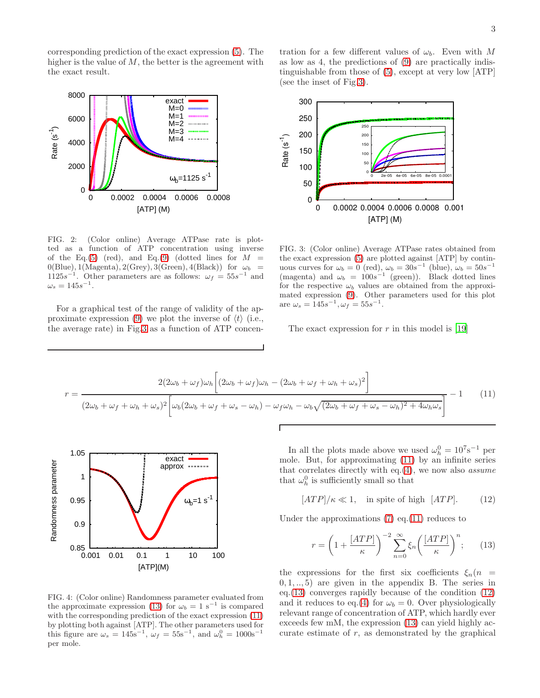corresponding prediction of the exact expression [\(5\)](#page-1-2). The higher is the value of  $M$ , the better is the agreement with the exact result.



<span id="page-2-0"></span>FIG. 2: (Color online) Average ATPase rate is plotted as a function of ATP concentration using inverse of the Eq.[\(5\)](#page-1-2) (red), and Eq.[\(9\)](#page-1-3) (dotted lines for  $M =$  $0(Blue), 1(Magenta), 2(Grey), 3(Green), 4(Black))$  for  $\omega_b =$  $1125s^{-1}$ . Other parameters are as follows:  $\omega_f = 55s^{-1}$  and  $\omega_s = 145s^{-1}.$ 

For a graphical test of the range of validity of the ap-proximate expression [\(9\)](#page-1-3) we plot the inverse of  $\langle t \rangle$  (i.e., the average rate) in Fig[.3](#page-2-1) as a function of ATP concen-

tration for a few different values of  $\omega_b$ . Even with M as low as 4, the predictions of [\(9\)](#page-1-3) are practically indistinguishable from those of [\(5\)](#page-1-2), except at very low [ATP] (see the inset of Fig[.3\)](#page-2-1).



<span id="page-2-1"></span>FIG. 3: (Color online) Average ATPase rates obtained from the exact expression [\(5\)](#page-1-2) are plotted against [ATP] by continuous curves for  $\omega_b = 0 \text{ (red)}$ ,  $\omega_b = 30s^{-1}$  (blue),  $\omega_b = 50s^{-1}$ (magenta) and  $\omega_b = 100s^{-1}$  (green)). Black dotted lines for the respective  $\omega_b$  values are obtained from the approximated expression [\(9\)](#page-1-3). Other parameters used for this plot are  $\omega_s = 145s^{-1}, \omega_f = 55s^{-1}.$ 

The exact expression for  $r$  in this model is [\[19\]](#page-4-17)

<span id="page-2-3"></span>
$$
r = \frac{2(2\omega_b + \omega_f)\omega_h \left[ (2\omega_b + \omega_f)\omega_h - (2\omega_b + \omega_f + \omega_h + \omega_s)^2 \right]}{(2\omega_b + \omega_f + \omega_h + \omega_s)^2 \left[ \omega_b(2\omega_b + \omega_f + \omega_s - \omega_h) - \omega_f\omega_h - \omega_b\sqrt{(2\omega_b + \omega_f + \omega_s - \omega_h)^2 + 4\omega_h\omega_s} \right]} - 1 \quad (11)
$$



<span id="page-2-5"></span>FIG. 4: (Color online) Randomness parameter evaluated from the approximate expression [\(13\)](#page-2-2) for  $\omega_b = 1 \text{ s}^{-1}$  is compared with the corresponding prediction of the exact expression [\(11\)](#page-2-3) by plotting both against [ATP]. The other parameters used for this figure are  $\omega_s = 145 \text{s}^{-1}$ ,  $\omega_f = 55 \text{s}^{-1}$ , and  $\omega_h^0 = 1000 \text{s}^{-1}$ per mole.

In all the plots made above we used  $\omega_h^0 = 10^7 \text{s}^{-1}$  per mole. But, for approximating [\(11\)](#page-2-3) by an infinite series that correlates directly with eq. $(4)$ , we now also *assume* that  $\omega_h^0$  is sufficiently small so that

<span id="page-2-4"></span>
$$
[ATP]/\kappa \ll 1, \quad \text{in spite of high} \ [ATP]. \tag{12}
$$

Under the approximations  $(7)$  eq. $(11)$  reduces to

<span id="page-2-2"></span>
$$
r = \left(1 + \frac{[ATP]}{\kappa}\right)^{-2} \sum_{n=0}^{\infty} \xi_n \left(\frac{[ATP]}{\kappa}\right)^n; \qquad (13)
$$

the expressions for the first six coefficients  $\xi_n(n)$  $(0, 1, \ldots, 5)$  are given in the appendix B. The series in eq.[\(13\)](#page-2-2) converges rapidly because of the condition [\(12\)](#page-2-4) and it reduces to eq.[\(4\)](#page-0-0) for  $\omega_b = 0$ . Over physiologically relevant range of concentration of ATP, which hardly ever exceeds few mM, the expression [\(13\)](#page-2-2) can yield highly accurate estimate of  $r$ , as demonstrated by the graphical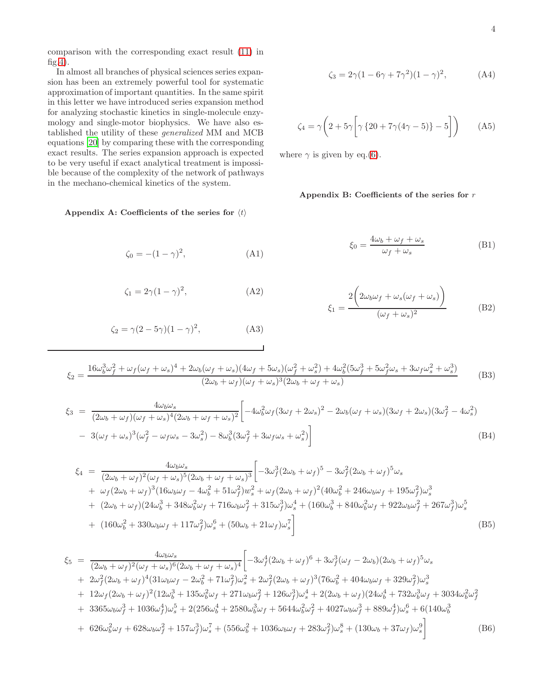comparison with the corresponding exact result [\(11\)](#page-2-3) in fig[.4\)](#page-2-5).

In almost all branches of physical sciences series expansion has been an extremely powerful tool for systematic approximation of important quantities. In the same spirit in this letter we have introduced series expansion method for analyzing stochastic kinetics in single-molecule enzymology and single-motor biophysics. We have also established the utility of these generalized MM and MCB equations [\[20](#page-4-18)] by comparing these with the corresponding exact results. The series expansion approach is expected to be very useful if exact analytical treatment is impossible because of the complexity of the network of pathways in the mechano-chemical kinetics of the system.

## Appendix A: Coefficients of the series for  $\langle t \rangle$

$$
\zeta_0 = -(1 - \gamma)^2, \tag{A1}
$$

$$
\zeta_1 = 2\gamma (1 - \gamma)^2,\tag{A2}
$$

$$
\zeta_2 = \gamma (2 - 5\gamma)(1 - \gamma)^2, \tag{A3}
$$

$$
f_{\rm{max}}
$$

$$
\zeta_3 = 2\gamma (1 - 6\gamma + 7\gamma^2)(1 - \gamma)^2, \tag{A4}
$$

$$
\zeta_4 = \gamma \bigg( 2 + 5\gamma \bigg[ \gamma \left\{ 20 + 7\gamma (4\gamma - 5) \right\} - 5 \bigg] \bigg) \tag{A5}
$$

where  $\gamma$  is given by eq.[\(6\)](#page-1-4).

## Appendix B: Coefficients of the series for r

$$
\xi_0 = \frac{4\omega_b + \omega_f + \omega_s}{\omega_f + \omega_s} \tag{B1}
$$

$$
\xi_1 = \frac{2\left(2\omega_b\omega_f + \omega_s(\omega_f + \omega_s)\right)}{(\omega_f + \omega_s)^2}
$$
(B2)

$$
\xi_2 = \frac{16\omega_b^3 \omega_f^2 + \omega_f (\omega_f + \omega_s)^4 + 2\omega_b (\omega_f + \omega_s)(4\omega_f + 5\omega_s)(\omega_f^2 + \omega_s^2) + 4\omega_b^2 (5\omega_f^3 + 5\omega_f^2 \omega_s + 3\omega_f \omega_s^2 + \omega_s^3)}{(2\omega_b + \omega_f)(\omega_f + \omega_s)^3 (2\omega_b + \omega_f + \omega_s)}
$$
(B3)

$$
\xi_3 = \frac{4\omega_b\omega_s}{(2\omega_b + \omega_f)(\omega_f + \omega_s)^4(2\omega_b + \omega_f + \omega_s)^2} \left[ -4\omega_b^2\omega_f(3\omega_f + 2\omega_s)^2 - 2\omega_b(\omega_f + \omega_s)(3\omega_f + 2\omega_s)(3\omega_f^2 - 4\omega_s^2) \right]
$$
  
-  $3(\omega_f + \omega_s)^3(\omega_f^2 - \omega_f\omega_s - 3\omega_s^2) - 8\omega_b^3(3\omega_f^2 + 3\omega_f\omega_s + \omega_s^2) \right]$  (B4)

$$
\xi_{4} = \frac{4\omega_{b}\omega_{s}}{(2\omega_{b} + \omega_{f})^{2}(\omega_{f} + \omega_{s})^{5}(2\omega_{b} + \omega_{f} + \omega_{s})^{3}} \left[ -3\omega_{f}^{3}(2\omega_{b} + \omega_{f})^{5} - 3\omega_{f}^{2}(2\omega_{b} + \omega_{f})^{5}\omega_{s} \right. \\
\left. + \omega_{f}(2\omega_{b} + \omega_{f})^{3}(16\omega_{b}\omega_{f} - 4\omega_{b}^{2} + 51\omega_{f}^{2})w_{s}^{2} + \omega_{f}(2\omega_{b} + \omega_{f})^{2}(40\omega_{b}^{2} + 246\omega_{b}\omega_{f} + 195\omega_{f}^{2})\omega_{s}^{3} \right. \\
\left. + (2\omega_{b} + \omega_{f})(24\omega_{b}^{3} + 348\omega_{b}^{2}\omega_{f} + 716\omega_{b}\omega_{f}^{2} + 315\omega_{f}^{3})\omega_{s}^{4} + (160\omega_{b}^{3} + 840\omega_{b}^{2}\omega_{f} + 922\omega_{b}\omega_{f}^{2} + 267\omega_{f}^{3})\omega_{s}^{5} \right. \\
\left. + (160\omega_{b}^{2} + 330\omega_{b}\omega_{f} + 117\omega_{f}^{2})\omega_{s}^{6} + (50\omega_{b} + 21\omega_{f})\omega_{s}^{7} \right]
$$
\n(B5)

$$
\xi_{5} = \frac{4\omega_{b}\omega_{s}}{(2\omega_{b} + \omega_{f})^{2}(\omega_{f} + \omega_{s})^{6}(2\omega_{b} + \omega_{f} + \omega_{s})^{4}} \left[ -3\omega_{f}^{4}(2\omega_{b} + \omega_{f})^{6} + 3\omega_{f}^{3}(\omega_{f} - 2\omega_{b})(2\omega_{b} + \omega_{f})^{5}\omega_{s} \right. \\ \left. + 2\omega_{f}^{2}(2\omega_{b} + \omega_{f})^{4}(31\omega_{b}\omega_{f} - 2\omega_{b}^{2} + 71\omega_{f}^{2})\omega_{s}^{2} + 2\omega_{f}^{2}(2\omega_{b} + \omega_{f})^{3}(76\omega_{b}^{2} + 404\omega_{b}\omega_{f} + 329\omega_{f}^{2})\omega_{s}^{3} \right. \\ \left. + 12\omega_{f}(2\omega_{b} + \omega_{f})^{2}(12\omega_{b}^{3} + 135\omega_{b}^{2}\omega_{f} + 271\omega_{b}\omega_{f}^{2} + 126\omega_{f}^{3})\omega_{s}^{4} + 2(2\omega_{b} + \omega_{f})(24\omega_{b}^{4} + 732\omega_{b}^{3}\omega_{f} + 3034\omega_{b}^{2}\omega_{f}^{2} \right. \\ \left. + 3365\omega_{b}\omega_{f}^{3} + 1036\omega_{f}^{4})\omega_{s}^{5} + 2(256\omega_{b}^{4} + 2580\omega_{b}^{3}\omega_{f} + 5644\omega_{b}^{2}\omega_{f}^{2} + 4027\omega_{b}\omega_{f}^{3} + 889\omega_{f}^{4})\omega_{s}^{6} + 6(140\omega_{b}^{3} + 626\omega_{b}^{2}\omega_{f} + 628\omega_{b}\omega_{f}^{2} + 157\omega_{f}^{3})\omega_{s}^{7} + (556\omega_{b}^{2} + 1036\omega_{b}\omega_{f} + 283\omega_{f}^{2})\omega_{s}^{8} + (130\omega_{b} + 37\omega_{f})\omega_{s}^{9} \right]
$$
 (B6)